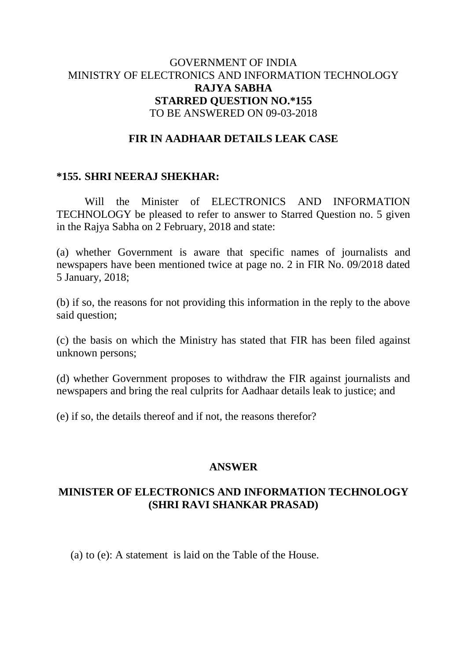### GOVERNMENT OF INDIA MINISTRY OF ELECTRONICS AND INFORMATION TECHNOLOGY **RAJYA SABHA STARRED QUESTION NO.\*155** TO BE ANSWERED ON 09-03-2018

# **FIR IN AADHAAR DETAILS LEAK CASE**

#### **\*155. SHRI NEERAJ SHEKHAR:**

Will the Minister of ELECTRONICS AND INFORMATION TECHNOLOGY be pleased to refer to answer to Starred Question no. 5 given in the Rajya Sabha on 2 February, 2018 and state:

(a) whether Government is aware that specific names of journalists and newspapers have been mentioned twice at page no. 2 in FIR No. 09/2018 dated 5 January, 2018;

(b) if so, the reasons for not providing this information in the reply to the above said question;

(c) the basis on which the Ministry has stated that FIR has been filed against unknown persons;

(d) whether Government proposes to withdraw the FIR against journalists and newspapers and bring the real culprits for Aadhaar details leak to justice; and

(e) if so, the details thereof and if not, the reasons therefor?

### **ANSWER**

# **MINISTER OF ELECTRONICS AND INFORMATION TECHNOLOGY (SHRI RAVI SHANKAR PRASAD)**

(a) to (e): A statement is laid on the Table of the House.